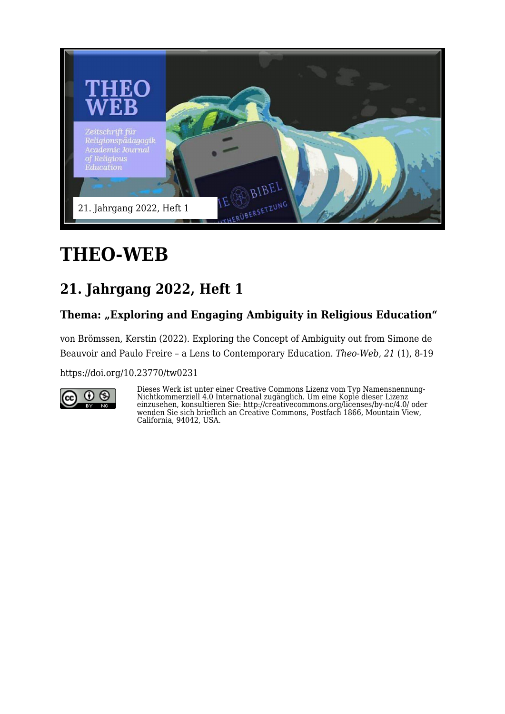

# **THEO-WEB**

## **21. Jahrgang 2022, Heft 1**

#### Thema: "Exploring and Engaging Ambiguity in Religious Education"

von Brömssen, Kerstin (2022). Exploring the Concept of Ambiguity out from Simone de Beauvoir and Paulo Freire – a Lens to Contemporary Education. *Theo-Web, 21* (1), 8-19

<https://doi.org/10.23770/tw0231>



Dieses Werk ist unter einer Creative Commons Lizenz vom Typ Namensnennung-Nichtkommerziell 4.0 International zugänglich. Um eine Kopie dieser Lizenz einzusehen, konsultieren Sie: http://creativecommons.org/licenses/by-nc/4.0/ oder wenden Sie sich brieflich an Creative Commons, Postfach 1866, Mountain View, California, 94042, USA.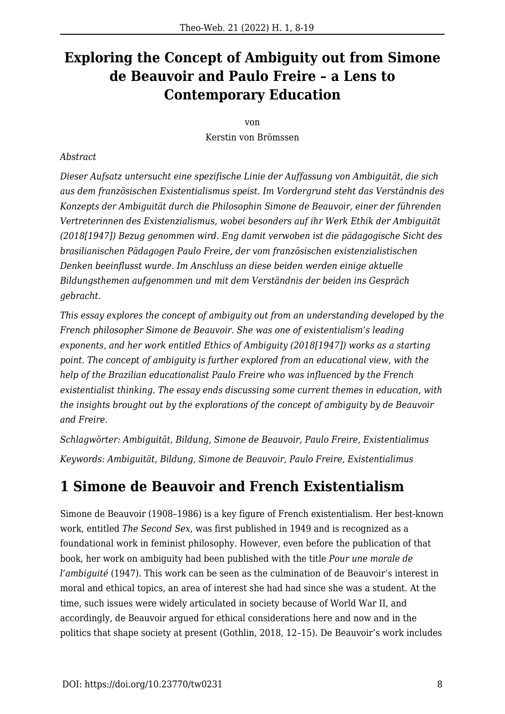#### **Exploring the Concept of Ambiguity out from Simone de Beauvoir and Paulo Freire – a Lens to Contemporary Education**

von

Kerstin von Brömssen

#### *Abstract*

*Dieser Aufsatz untersucht eine spezifische Linie der Auffassung von Ambiguität, die sich aus dem französischen Existentialismus speist. Im Vordergrund steht das Verständnis des Konzepts der Ambiguität durch die Philosophin Simone de Beauvoir, einer der führenden Vertreterinnen des Existenzialismus, wobei besonders auf ihr Werk Ethik der Ambiguität (2018[1947]) Bezug genommen wird. Eng damit verwoben ist die pädagogische Sicht des brasilianischen Pädagogen Paulo Freire, der vom französischen existenzialistischen Denken beeinflusst wurde. Im Anschluss an diese beiden werden einige aktuelle Bildungsthemen aufgenommen und mit dem Verständnis der beiden ins Gespräch gebracht.*

*This essay explores the concept of ambiguity out from an understanding developed by the French philosopher Simone de Beauvoir. She was one of existentialism's leading exponents, and her work entitled Ethics of Ambiguity (2018[1947]) works as a starting point. The concept of ambiguity is further explored from an educational view, with the help of the Brazilian educationalist Paulo Freire who was influenced by the French existentialist thinking. The essay ends discussing some current themes in education, with the insights brought out by the explorations of the concept of ambiguity by de Beauvoir and Freire.*

*Schlagwörter: Ambiguität, Bildung, Simone de Beauvoir, Paulo Freire, Existentialimus Keywords: Ambiguität, Bildung, Simone de Beauvoir, Paulo Freire, Existentialimus*

#### **1 Simone de Beauvoir and French Existentialism**

Simone de Beauvoir (1908–1986) is a key figure of French existentialism. Her best-known work, entitled *The Second Sex*, was first published in 1949 and is recognized as a foundational work in feminist philosophy. However, even before the publication of that book, her work on ambiguity had been published with the title *Pour une morale de l'ambiguité* (1947). This work can be seen as the culmination of de Beauvoir's interest in moral and ethical topics, an area of interest she had had since she was a student. At the time, such issues were widely articulated in society because of World War II, and accordingly, de Beauvoir argued for ethical considerations here and now and in the politics that shape society at present (Gothlin, 2018, 12–15). De Beauvoir's work includes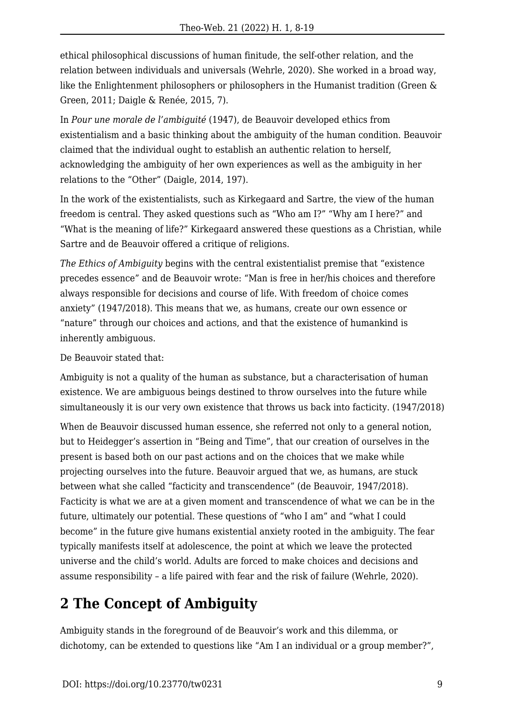ethical philosophical discussions of human finitude, the self-other relation, and the relation between individuals and universals (Wehrle, 2020). She worked in a broad way, like the Enlightenment philosophers or philosophers in the Humanist tradition (Green & Green, 2011; Daigle & Renée, 2015, 7).

In *Pour une morale de l'ambiguité* (1947), de Beauvoir developed ethics from existentialism and a basic thinking about the ambiguity of the human condition. Beauvoir claimed that the individual ought to establish an authentic relation to herself, acknowledging the ambiguity of her own experiences as well as the ambiguity in her relations to the "Other" (Daigle, 2014, 197).

In the work of the existentialists, such as Kirkegaard and Sartre, the view of the human freedom is central. They asked questions such as "Who am I?" "Why am I here?" and "What is the meaning of life?" Kirkegaard answered these questions as a Christian, while Sartre and de Beauvoir offered a critique of religions.

*The Ethics of Ambiguity* begins with the central existentialist premise that "existence precedes essence" and de Beauvoir wrote: "Man is free in her/his choices and therefore always responsible for decisions and course of life. With freedom of choice comes anxiety" (1947/2018). This means that we, as humans, create our own essence or "nature" through our choices and actions, and that the existence of humankind is inherently ambiguous.

De Beauvoir stated that:

Ambiguity is not a quality of the human as substance, but a characterisation of human existence. We are ambiguous beings destined to throw ourselves into the future while simultaneously it is our very own existence that throws us back into facticity. (1947/2018)

When de Beauvoir discussed human essence, she referred not only to a general notion, but to Heidegger's assertion in "Being and Time", that our creation of ourselves in the present is based both on our past actions and on the choices that we make while projecting ourselves into the future. Beauvoir argued that we, as humans, are stuck between what she called "facticity and transcendence" (de Beauvoir, 1947/2018). Facticity is what we are at a given moment and transcendence of what we can be in the future, ultimately our potential. These questions of "who I am" and "what I could become" in the future give humans existential anxiety rooted in the ambiguity. The fear typically manifests itself at adolescence, the point at which we leave the protected universe and the child's world. Adults are forced to make choices and decisions and assume responsibility – a life paired with fear and the risk of failure (Wehrle, 2020).

#### **2 The Concept of Ambiguity**

Ambiguity stands in the foreground of de Beauvoir's work and this dilemma, or dichotomy, can be extended to questions like "Am I an individual or a group member?",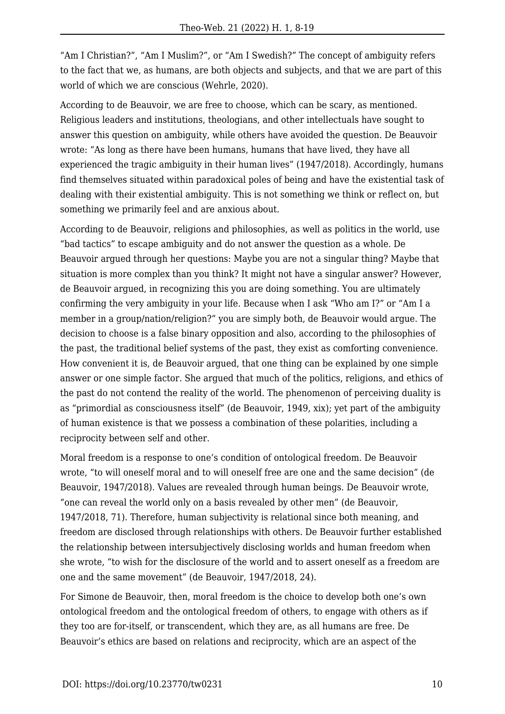"Am I Christian?", "Am I Muslim?", or "Am I Swedish?" The concept of ambiguity refers to the fact that we, as humans, are both objects and subjects, and that we are part of this world of which we are conscious (Wehrle, 2020).

According to de Beauvoir, we are free to choose, which can be scary, as mentioned. Religious leaders and institutions, theologians, and other intellectuals have sought to answer this question on ambiguity, while others have avoided the question. De Beauvoir wrote: "As long as there have been humans, humans that have lived, they have all experienced the tragic ambiguity in their human lives" (1947/2018). Accordingly, humans find themselves situated within paradoxical poles of being and have the existential task of dealing with their existential ambiguity. This is not something we think or reflect on, but something we primarily feel and are anxious about.

According to de Beauvoir, religions and philosophies, as well as politics in the world, use "bad tactics" to escape ambiguity and do not answer the question as a whole. De Beauvoir argued through her questions: Maybe you are not a singular thing? Maybe that situation is more complex than you think? It might not have a singular answer? However, de Beauvoir argued, in recognizing this you are doing something. You are ultimately confirming the very ambiguity in your life. Because when I ask "Who am I?" or "Am I a member in a group/nation/religion?" you are simply both, de Beauvoir would argue. The decision to choose is a false binary opposition and also, according to the philosophies of the past, the traditional belief systems of the past, they exist as comforting convenience. How convenient it is, de Beauvoir argued, that one thing can be explained by one simple answer or one simple factor. She argued that much of the politics, religions, and ethics of the past do not contend the reality of the world. The phenomenon of perceiving duality is as "primordial as consciousness itself" (de Beauvoir, 1949, xix); yet part of the ambiguity of human existence is that we possess a combination of these polarities, including a reciprocity between self and other.

Moral freedom is a response to one's condition of ontological freedom. De Beauvoir wrote, "to will oneself moral and to will oneself free are one and the same decision" (de Beauvoir, 1947/2018). Values are revealed through human beings. De Beauvoir wrote, "one can reveal the world only on a basis revealed by other men" (de Beauvoir, 1947/2018, 71). Therefore, human subjectivity is relational since both meaning, and freedom are disclosed through relationships with others. De Beauvoir further established the relationship between intersubjectively disclosing worlds and human freedom when she wrote, "to wish for the disclosure of the world and to assert oneself as a freedom are one and the same movement" (de Beauvoir, 1947/2018, 24).

For Simone de Beauvoir, then, moral freedom is the choice to develop both one's own ontological freedom and the ontological freedom of others, to engage with others as if they too are for-itself, or transcendent, which they are, as all humans are free. De Beauvoir's ethics are based on relations and reciprocity, which are an aspect of the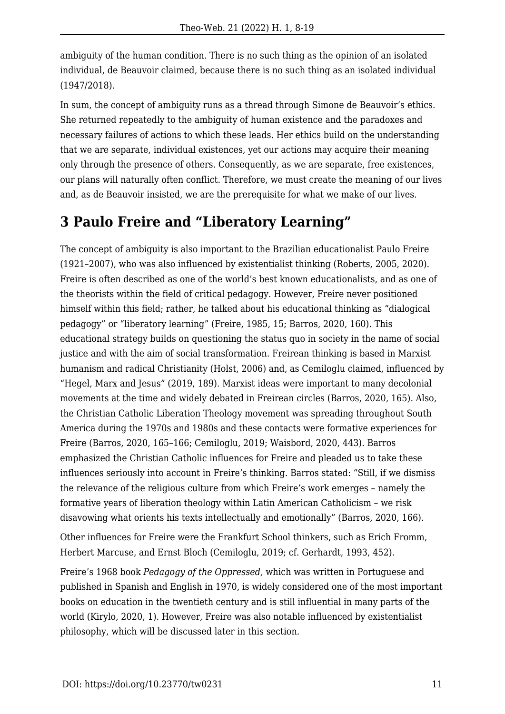ambiguity of the human condition. There is no such thing as the opinion of an isolated individual, de Beauvoir claimed, because there is no such thing as an isolated individual (1947/2018).

In sum, the concept of ambiguity runs as a thread through Simone de Beauvoir's ethics. She returned repeatedly to the ambiguity of human existence and the paradoxes and necessary failures of actions to which these leads. Her ethics build on the understanding that we are separate, individual existences, yet our actions may acquire their meaning only through the presence of others. Consequently, as we are separate, free existences, our plans will naturally often conflict. Therefore, we must create the meaning of our lives and, as de Beauvoir insisted, we are the prerequisite for what we make of our lives.

#### **3 Paulo Freire and "Liberatory Learning"**

The concept of ambiguity is also important to the Brazilian educationalist Paulo Freire (1921–2007), who was also influenced by existentialist thinking (Roberts, 2005, 2020). Freire is often described as one of the world's best known educationalists, and as one of the theorists within the field of critical pedagogy. However, Freire never positioned himself within this field; rather, he talked about his educational thinking as "dialogical pedagogy" or "liberatory learning" (Freire, 1985, 15; Barros, 2020, 160). This educational strategy builds on questioning the status quo in society in the name of social justice and with the aim of social transformation. Freirean thinking is based in Marxist humanism and radical Christianity (Holst, 2006) and, as Cemiloglu claimed, influenced by "Hegel, Marx and Jesus" (2019, 189). Marxist ideas were important to many decolonial movements at the time and widely debated in Freirean circles (Barros, 2020, 165). Also, the Christian Catholic Liberation Theology movement was spreading throughout South America during the 1970s and 1980s and these contacts were formative experiences for Freire (Barros, 2020, 165–166; Cemiloglu, 2019; Waisbord, 2020, 443). Barros emphasized the Christian Catholic influences for Freire and pleaded us to take these influences seriously into account in Freire's thinking. Barros stated: "Still, if we dismiss the relevance of the religious culture from which Freire's work emerges – namely the formative years of liberation theology within Latin American Catholicism – we risk disavowing what orients his texts intellectually and emotionally" (Barros, 2020, 166).

Other influences for Freire were the Frankfurt School thinkers, such as Erich Fromm, Herbert Marcuse, and Ernst Bloch (Cemiloglu, 2019; cf. Gerhardt, 1993, 452).

Freire's 1968 book *Pedagogy of the Oppressed,* which was written in Portuguese and published in Spanish and English in 1970, is widely considered one of the most important books on education in the twentieth century and is still influential in many parts of the world (Kirylo, 2020, 1). However, Freire was also notable influenced by existentialist philosophy, which will be discussed later in this section.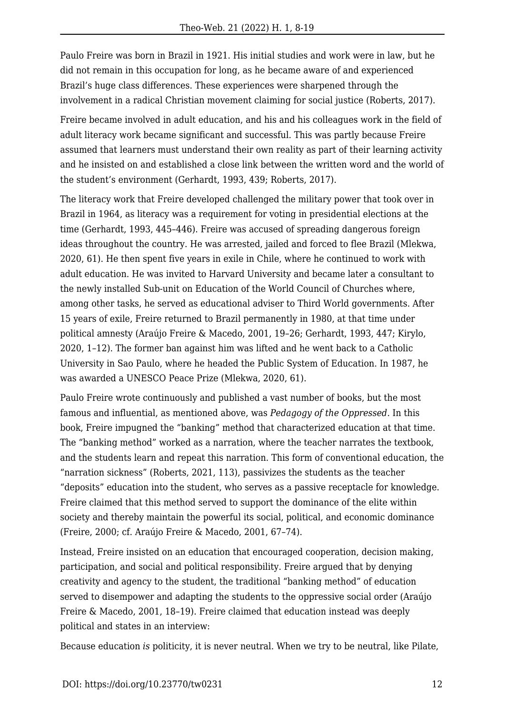Paulo Freire was born in Brazil in 1921. His initial studies and work were in law, but he did not remain in this occupation for long, as he became aware of and experienced Brazil's huge class differences. These experiences were sharpened through the involvement in a radical Christian movement claiming for social justice (Roberts, 2017).

Freire became involved in adult education, and his and his colleagues work in the field of adult literacy work became significant and successful. This was partly because Freire assumed that learners must understand their own reality as part of their learning activity and he insisted on and established a close link between the written word and the world of the student's environment (Gerhardt, 1993, 439; Roberts, 2017).

The literacy work that Freire developed challenged the military power that took over in Brazil in 1964, as literacy was a requirement for voting in presidential elections at the time (Gerhardt, 1993, 445–446). Freire was accused of spreading dangerous foreign ideas throughout the country. He was arrested, jailed and forced to flee Brazil (Mlekwa, 2020, 61). He then spent five years in exile in Chile, where he continued to work with adult education. He was invited to Harvard University and became later a consultant to the newly installed Sub-unit on Education of the World Council of Churches where, among other tasks, he served as educational adviser to Third World governments. After 15 years of exile, Freire returned to Brazil permanently in 1980, at that time under political amnesty (Araújo Freire & Macedo, 2001, 19–26; Gerhardt, 1993, 447; Kirylo, 2020, 1–12). The former ban against him was lifted and he went back to a Catholic University in Sao Paulo, where he headed the Public System of Education. In 1987, he was awarded a UNESCO Peace Prize (Mlekwa, 2020, 61).

Paulo Freire wrote continuously and published a vast number of books, but the most famous and influential, as mentioned above, was *Pedagogy of the Oppressed*. In this book, Freire impugned the "banking" method that characterized education at that time. The "banking method" worked as a narration, where the teacher narrates the textbook, and the students learn and repeat this narration. This form of conventional education, the "narration sickness" (Roberts, 2021, 113), passivizes the students as the teacher "deposits" education into the student, who serves as a passive receptacle for knowledge. Freire claimed that this method served to support the dominance of the elite within society and thereby maintain the powerful its social, political, and economic dominance (Freire, 2000; cf. Araújo Freire & Macedo, 2001, 67–74).

Instead, Freire insisted on an education that encouraged cooperation, decision making, participation, and social and political responsibility. Freire argued that by denying creativity and agency to the student, the traditional "banking method" of education served to disempower and adapting the students to the oppressive social order (Araújo Freire & Macedo, 2001, 18–19). Freire claimed that education instead was deeply political and states in an interview:

Because education *is* politicity, it is never neutral. When we try to be neutral, like Pilate,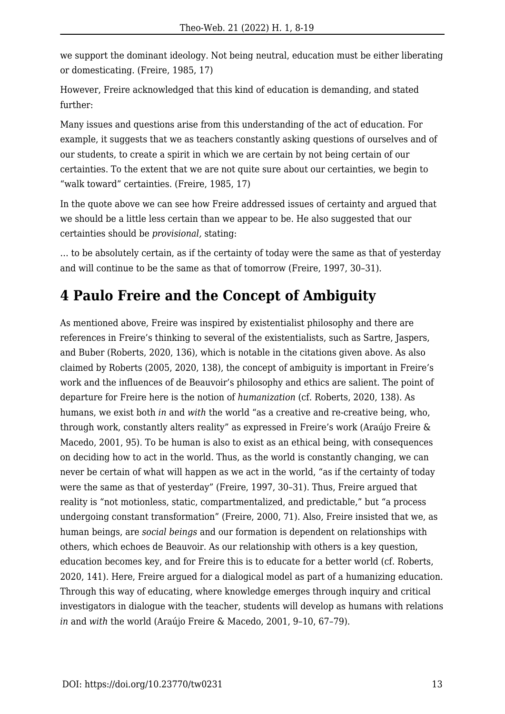we support the dominant ideology. Not being neutral, education must be either liberating or domesticating. (Freire, 1985, 17)

However, Freire acknowledged that this kind of education is demanding, and stated further:

Many issues and questions arise from this understanding of the act of education. For example, it suggests that we as teachers constantly asking questions of ourselves and of our students, to create a spirit in which we are certain by not being certain of our certainties. To the extent that we are not quite sure about our certainties, we begin to "walk toward" certainties. (Freire, 1985, 17)

In the quote above we can see how Freire addressed issues of certainty and argued that we should be a little less certain than we appear to be. He also suggested that our certainties should be *provisional,* stating:

… to be absolutely certain, as if the certainty of today were the same as that of yesterday and will continue to be the same as that of tomorrow (Freire, 1997, 30–31).

#### **4 Paulo Freire and the Concept of Ambiguity**

As mentioned above, Freire was inspired by existentialist philosophy and there are references in Freire's thinking to several of the existentialists, such as Sartre, Jaspers, and Buber (Roberts, 2020, 136), which is notable in the citations given above. As also claimed by Roberts (2005, 2020, 138), the concept of ambiguity is important in Freire's work and the influences of de Beauvoir's philosophy and ethics are salient. The point of departure for Freire here is the notion of *humanization* (cf. Roberts, 2020, 138). As humans, we exist both *in* and *with* the world "as a creative and re-creative being, who, through work, constantly alters reality" as expressed in Freire's work (Araújo Freire & Macedo, 2001, 95). To be human is also to exist as an ethical being, with consequences on deciding how to act in the world. Thus, as the world is constantly changing, we can never be certain of what will happen as we act in the world, "as if the certainty of today were the same as that of yesterday" (Freire, 1997, 30–31). Thus, Freire argued that reality is "not motionless, static, compartmentalized, and predictable," but "a process undergoing constant transformation" (Freire, 2000, 71). Also, Freire insisted that we, as human beings, are *social beings* and our formation is dependent on relationships with others, which echoes de Beauvoir. As our relationship with others is a key question, education becomes key, and for Freire this is to educate for a better world (cf. Roberts, 2020, 141). Here, Freire argued for a dialogical model as part of a humanizing education. Through this way of educating, where knowledge emerges through inquiry and critical investigators in dialogue with the teacher, students will develop as humans with relations *in* and *with* the world (Araújo Freire & Macedo, 2001, 9–10, 67–79).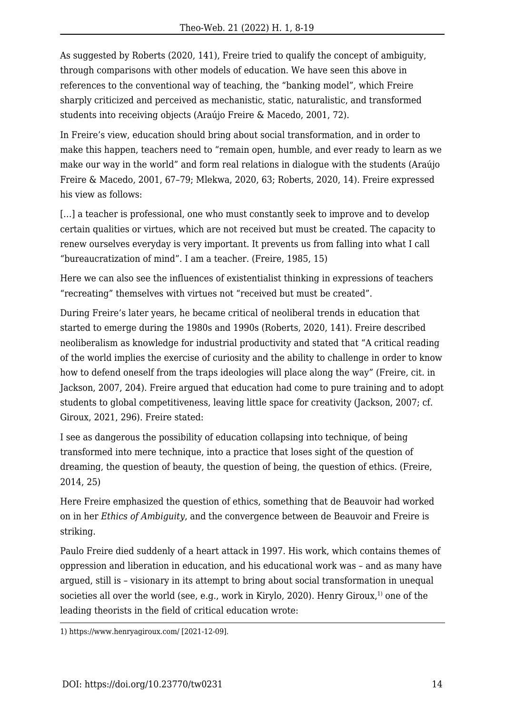As suggested by Roberts (2020, 141), Freire tried to qualify the concept of ambiguity, through comparisons with other models of education. We have seen this above in references to the conventional way of teaching, the "banking model", which Freire sharply criticized and perceived as mechanistic, static, naturalistic, and transformed students into receiving objects (Araújo Freire & Macedo, 2001, 72).

In Freire's view, education should bring about social transformation, and in order to make this happen, teachers need to "remain open, humble, and ever ready to learn as we make our way in the world" and form real relations in dialogue with the students (Araújo Freire & Macedo, 2001, 67–79; Mlekwa, 2020, 63; Roberts, 2020, 14). Freire expressed his view as follows:

[...] a teacher is professional, one who must constantly seek to improve and to develop certain qualities or virtues, which are not received but must be created. The capacity to renew ourselves everyday is very important. It prevents us from falling into what I call "bureaucratization of mind". I am a teacher. (Freire, 1985, 15)

Here we can also see the influences of existentialist thinking in expressions of teachers "recreating" themselves with virtues not "received but must be created".

During Freire's later years, he became critical of neoliberal trends in education that started to emerge during the 1980s and 1990s (Roberts, 2020, 141). Freire described neoliberalism as knowledge for industrial productivity and stated that "A critical reading of the world implies the exercise of curiosity and the ability to challenge in order to know how to defend oneself from the traps ideologies will place along the way" (Freire, cit. in Jackson, 2007, 204). Freire argued that education had come to pure training and to adopt students to global competitiveness, leaving little space for creativity (Jackson, 2007; cf. Giroux, 2021, 296). Freire stated:

I see as dangerous the possibility of education collapsing into technique, of being transformed into mere technique, into a practice that loses sight of the question of dreaming, the question of beauty, the question of being, the question of ethics. (Freire, 2014, 25)

Here Freire emphasized the question of ethics, something that de Beauvoir had worked on in her *Ethics of Ambiguity*, and the convergence between de Beauvoir and Freire is striking.

Paulo Freire died suddenly of a heart attack in 1997. His work, which contains themes of oppression and liberation in education, and his educational work was – and as many have argued, still is – visionary in its attempt to bring about social transformation in unequal societies all over the world (see, e.g., work in Kirylo, 2020). Henry Giroux, $1$  one of the leading theorists in the field of critical education wrote:

1) <https://www.henryagiroux.com/>[2021-12-09].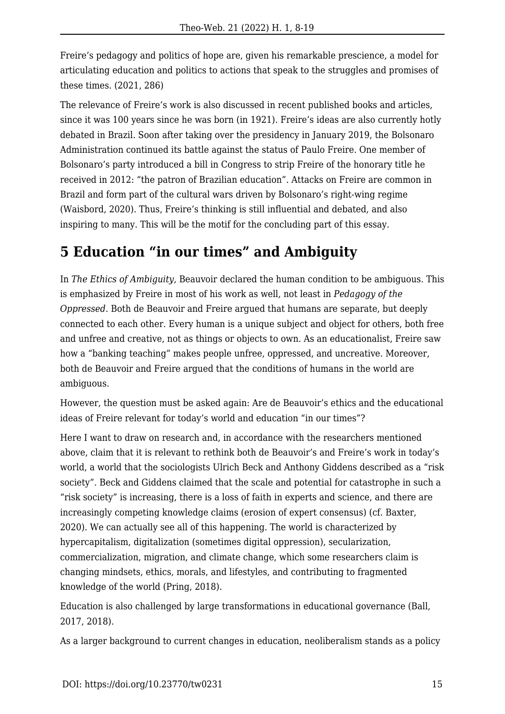Freire's pedagogy and politics of hope are, given his remarkable prescience, a model for articulating education and politics to actions that speak to the struggles and promises of these times. (2021, 286)

The relevance of Freire's work is also discussed in recent published books and articles, since it was 100 years since he was born (in 1921). Freire's ideas are also currently hotly debated in Brazil. Soon after taking over the presidency in January 2019, the Bolsonaro Administration continued its battle against the status of Paulo Freire. One member of Bolsonaro's party introduced a bill in Congress to strip Freire of the honorary title he received in 2012: "the patron of Brazilian education". Attacks on Freire are common in Brazil and form part of the cultural wars driven by Bolsonaro's right-wing regime (Waisbord, 2020). Thus, Freire's thinking is still influential and debated, and also inspiring to many. This will be the motif for the concluding part of this essay.

#### **5 Education "in our times" and Ambiguity**

In *The Ethics of Ambiguity*, Beauvoir declared the human condition to be ambiguous. This is emphasized by Freire in most of his work as well, not least in *Pedagogy of the Oppressed*. Both de Beauvoir and Freire argued that humans are separate, but deeply connected to each other. Every human is a unique subject and object for others, both free and unfree and creative, not as things or objects to own. As an educationalist, Freire saw how a "banking teaching" makes people unfree, oppressed, and uncreative. Moreover, both de Beauvoir and Freire argued that the conditions of humans in the world are ambiguous.

However, the question must be asked again: Are de Beauvoir's ethics and the educational ideas of Freire relevant for today's world and education "in our times"?

Here I want to draw on research and, in accordance with the researchers mentioned above, claim that it is relevant to rethink both de Beauvoir's and Freire's work in today's world, a world that the sociologists Ulrich Beck and Anthony Giddens described as a "risk society". Beck and Giddens claimed that the scale and potential for catastrophe in such a "risk society" is increasing, there is a loss of faith in experts and science, and there are increasingly competing knowledge claims (erosion of expert consensus) (cf. Baxter, 2020). We can actually see all of this happening. The world is characterized by hypercapitalism, digitalization (sometimes digital oppression), secularization, commercialization, migration, and climate change, which some researchers claim is changing mindsets, ethics, morals, and lifestyles, and contributing to fragmented knowledge of the world (Pring, 2018).

Education is also challenged by large transformations in educational governance (Ball, 2017, 2018).

As a larger background to current changes in education, neoliberalism stands as a policy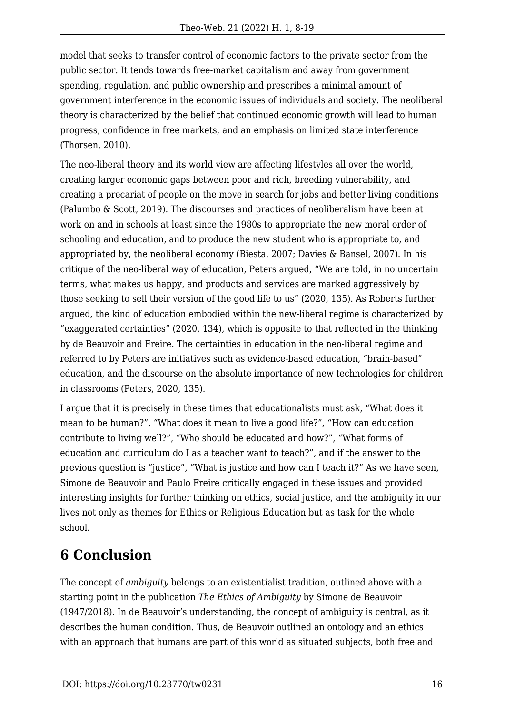model that seeks to transfer control of economic factors to the private sector from the public sector. It tends towards free-market capitalism and away from government spending, regulation, and public ownership and prescribes a minimal amount of government interference in the economic issues of individuals and society. The neoliberal theory is characterized by the belief that continued economic growth will lead to human progress, confidence in free markets, and an emphasis on limited state interference (Thorsen, 2010).

The neo-liberal theory and its world view are affecting lifestyles all over the world, creating larger economic gaps between poor and rich, breeding vulnerability, and creating a precariat of people on the move in search for jobs and better living conditions (Palumbo & Scott, 2019). The discourses and practices of neoliberalism have been at work on and in schools at least since the 1980s to appropriate the new moral order of schooling and education, and to produce the new student who is appropriate to, and appropriated by, the neoliberal economy (Biesta, 2007; Davies & Bansel, 2007). In his critique of the neo-liberal way of education, Peters argued, "We are told, in no uncertain terms, what makes us happy, and products and services are marked aggressively by those seeking to sell their version of the good life to us" (2020, 135). As Roberts further argued, the kind of education embodied within the new-liberal regime is characterized by "exaggerated certainties" (2020, 134), which is opposite to that reflected in the thinking by de Beauvoir and Freire. The certainties in education in the neo-liberal regime and referred to by Peters are initiatives such as evidence-based education, "brain-based" education, and the discourse on the absolute importance of new technologies for children in classrooms (Peters, 2020, 135).

I argue that it is precisely in these times that educationalists must ask, "What does it mean to be human?", "What does it mean to live a good life?", "How can education contribute to living well?", "Who should be educated and how?", "What forms of education and curriculum do I as a teacher want to teach?", and if the answer to the previous question is "justice", "What is justice and how can I teach it?" As we have seen, Simone de Beauvoir and Paulo Freire critically engaged in these issues and provided interesting insights for further thinking on ethics, social justice, and the ambiguity in our lives not only as themes for Ethics or Religious Education but as task for the whole school.

## **6 Conclusion**

The concept of *ambiguity* belongs to an existentialist tradition, outlined above with a starting point in the publication *The Ethics of Ambiguity* by Simone de Beauvoir (1947/2018). In de Beauvoir's understanding, the concept of ambiguity is central, as it describes the human condition. Thus, de Beauvoir outlined an ontology and an ethics with an approach that humans are part of this world as situated subjects, both free and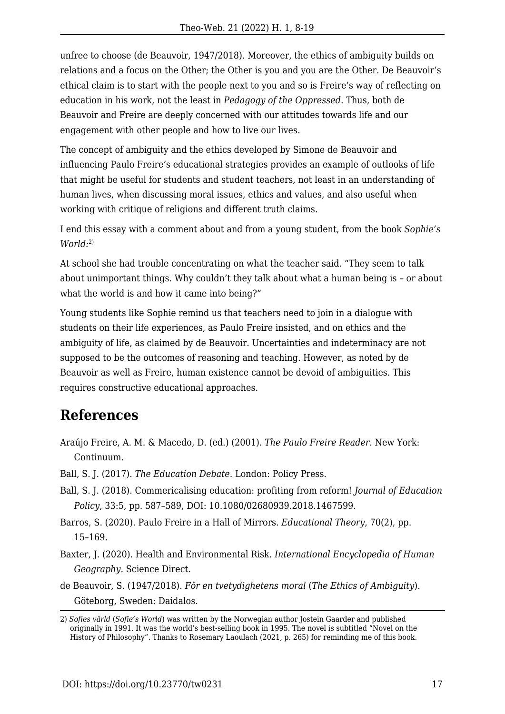unfree to choose (de Beauvoir, 1947/2018). Moreover, the ethics of ambiguity builds on relations and a focus on the Other; the Other is you and you are the Other. De Beauvoir's ethical claim is to start with the people next to you and so is Freire's way of reflecting on education in his work, not the least in *Pedagogy of the Oppressed*. Thus, both de Beauvoir and Freire are deeply concerned with our attitudes towards life and our engagement with other people and how to live our lives.

The concept of ambiguity and the ethics developed by Simone de Beauvoir and influencing Paulo Freire's educational strategies provides an example of outlooks of life that might be useful for students and student teachers, not least in an understanding of human lives, when discussing moral issues, ethics and values, and also useful when working with critique of religions and different truth claims.

I end this essay with a comment about and from a young student, from the book *Sophie's World:*2)

At school she had trouble concentrating on what the teacher said. "They seem to talk about unimportant things. Why couldn't they talk about what a human being is – or about what the world is and how it came into being?"

Young students like Sophie remind us that teachers need to join in a dialogue with students on their life experiences, as Paulo Freire insisted, and on ethics and the ambiguity of life, as claimed by de Beauvoir. Uncertainties and indeterminacy are not supposed to be the outcomes of reasoning and teaching. However, as noted by de Beauvoir as well as Freire, human existence cannot be devoid of ambiguities. This requires constructive educational approaches.

#### **References**

- Araújo Freire, A. M. & Macedo, D. (ed.) (2001). *The Paulo Freire Reader.* New York: Continuum.
- Ball, S. J. (2017). *The Education Debate*. London: Policy Press.
- Ball, S. J. (2018). Commericalising education: profiting from reform! *Journal of Education Policy*, 33:5, pp. 587–589, DOI: 10.1080/02680939.2018.1467599.
- Barros, S. (2020). Paulo Freire in a Hall of Mirrors. *Educational Theory*, 70(2), pp. 15–169.
- Baxter, J. (2020). Health and Environmental Risk. *International Encyclopedia of Human Geography.* Science Direct.
- de Beauvoir, S. (1947/2018). *För en tvetydighetens moral* (*The Ethics of Ambiguity*). Göteborg, Sweden: Daidalos.

<sup>2)</sup> *Sofies värld* (*Sofie's World*) was written by the Norwegian author Jostein Gaarder and published originally in 1991. It was the world's best-selling book in 1995. The novel is subtitled "Novel on the History of Philosophy". Thanks to Rosemary Laoulach (2021, p. 265) for reminding me of this book.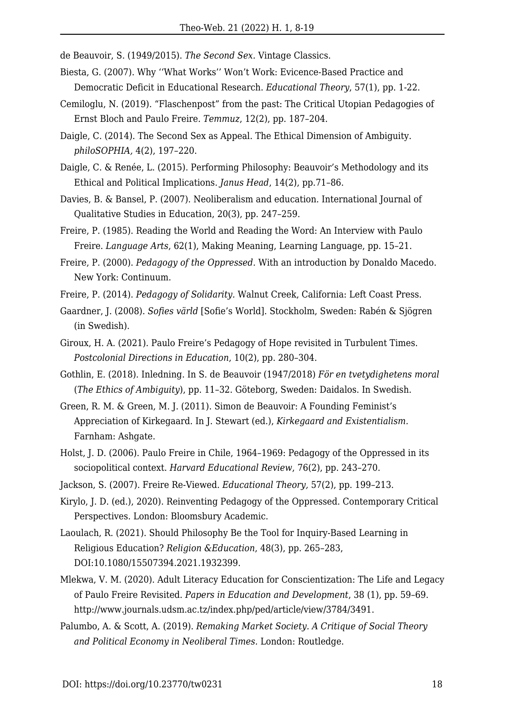de Beauvoir, S. (1949/2015). *The Second Sex.* Vintage Classics.

- Biesta, G. (2007). Why ''What Works'' Won't Work: Evicence-Based Practice and Democratic Deficit in Educational Research. *Educational Theory*, 57(1), pp. 1-22.
- Cemiloglu, N. (2019). "Flaschenpost" from the past: The Critical Utopian Pedagogies of Ernst Bloch and Paulo Freire*. Temmuz*, 12(2), pp. 187–204.
- Daigle, C. (2014). The Second Sex as Appeal. The Ethical Dimension of Ambiguity. *philoSOPHIA,* 4(2), 197–220.
- Daigle, C. & Renée, L. (2015). Performing Philosophy: Beauvoir's Methodology and its Ethical and Political Implications. *Janus Head*, 14(2), pp.71–86.
- Davies, B. & Bansel, P. (2007). Neoliberalism and education. International Journal of Qualitative Studies in Education, 20(3), pp. 247–259.
- Freire, P. (1985). Reading the World and Reading the Word: An Interview with Paulo Freire. *Language Arts*, 62(1), Making Meaning, Learning Language, pp. 15–21.
- Freire, P. (2000). *Pedagogy of the Oppressed.* With an introduction by Donaldo Macedo. New York: Continuum.
- Freire, P. (2014). *Pedagogy of Solidarity.* Walnut Creek, California: Left Coast Press.
- Gaardner, J. (2008). *Sofies värld* [Sofie's World]. Stockholm, Sweden: Rabén & Sjögren (in Swedish).
- Giroux, H. A. (2021). Paulo Freire's Pedagogy of Hope revisited in Turbulent Times. *Postcolonial Directions in Education*, 10(2), pp. 280–304.
- Gothlin, E. (2018). Inledning. In S. de Beauvoir (1947/2018) *För en tvetydighetens moral* (*The Ethics of Ambiguity*), pp. 11–32. Göteborg, Sweden: Daidalos. In Swedish.
- Green, R. M. & Green, M. J. (2011). Simon de Beauvoir: A Founding Feminist's Appreciation of Kirkegaard. In J. Stewart (ed.), *Kirkegaard and Existentialism.* Farnham: Ashgate.
- Holst, J. D. (2006). Paulo Freire in Chile, 1964–1969: Pedagogy of the Oppressed in its sociopolitical context. *Harvard Educational Review*, 76(2), pp. 243–270.
- Jackson, S. (2007). Freire Re-Viewed. *Educational Theory,* 57(2), pp. 199–213.
- Kirylo, J. D. (ed.), 2020). Reinventing Pedagogy of the Oppressed. Contemporary Critical Perspectives. London: Bloomsbury Academic.
- Laoulach, R. (2021). Should Philosophy Be the Tool for Inquiry-Based Learning in Religious Education? *Religion &Education*, 48(3), pp. 265–283, DOI:10.1080/15507394.2021.1932399.
- Mlekwa, V. M. (2020). Adult Literacy Education for Conscientization: The Life and Legacy of Paulo Freire Revisited. *Papers in Education and Development*, 38 (1), pp. 59–69. <http://www.journals.udsm.ac.tz/index.php/ped/article/view/3784/3491>.
- Palumbo, A. & Scott, A. (2019). *Remaking Market Society. A Critique of Social Theory and Political Economy in Neoliberal Times.* London: Routledge.